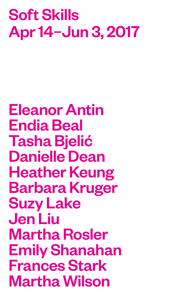# Soft Skills Apr 14–Jun 3, 2017

Eleanor Antin Endia Beal Tasha Bjelić Danielle Dean Heather Keung Barbara Kruger Suzy Lake Jen Liu Martha Rosler Emily Shanahan Frances Stark Martha Wilson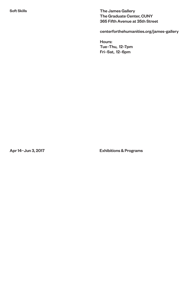The James Gallery The Graduate Center, CUNY 365 Fifth Avenue at 35th Street

centerforthehumanities.org/james-gallery

Hours: Tue–Thu, 12–7pm Fri–Sat, 12–6pm

Apr 14–Jun 3, 2017 Exhibitions & Programs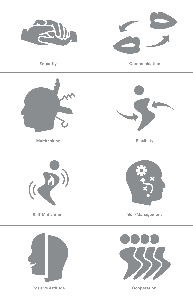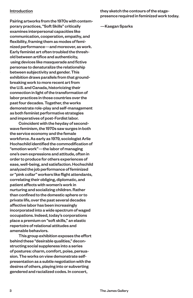#### Introduction

Pairing artworks from the 1970s with contemporary practices, "Soft Skills" critically examines interpersonal capacities like communication, cooperation, empathy, and flexibility, framing them as modes of feminized performance—and moreover, as work. Early feminist art often troubled the threshold between artifice and authenticity, using devices like masquerade and fictive personae to denaturalize the relationship between subjectivity and gender. This exhibition draws parallels from that groundbreaking work to more recent art from the U.S. and Canada, historicizing their connection in light of the transformation of labor practices in those countries over the past four decades. Together, the works demonstrate role-play and self-management as both feminist performative strategies and imperatives of post-Fordist labor.

 Coincident with the heyday of secondwave feminism, the 1970s saw surges in both the service economy and the female workforce. As early as 1979, sociologist Arlie Hochschild identified the commodification of "emotion work"—the labor of managing one's own expressions and attitude, often in order to produce for others experiences of ease, well-being, and satisfaction. Hochschild analyzed the job performance of feminized or "pink collar" workers like flight attendants, correlating their obliging, diplomatic, and patient affects with women's work in nurturing and socializing children. Rather than confined to the domestic sphere or to private life, over the past several decades affective labor has been increasingly incorporated into a wide spectrum of waged occupations. Indeed, today's corporations place a premium on "soft skills," an elastic repertoire of relational attitudes and amenable behaviors.

 This group exhibition exposes the effort behind these "desirable qualities," deconstructing social suppleness into a series of postures: charm, comfort, poise, persuasion. The works on view demonstrate selfpresentation as a subtle negotiation with the desires of others, playing into or subverting gendered and racialized codes. In concert,

#### they sketch the contours of the stagepresence required in feminized work today.

#### —Kaegan Sparks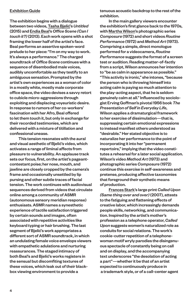#### Exhibition Guide

The exhibition begins with a dialogue between two videos, Tasha Bjelić's *Untitled* (2015) and Endia Beal's *Office Scene (Can I touch it?)* (2013). Each work opens with a shot framing the lower half of the artist's face. Beal performs an assertive spoken-word prelude to her piece: "I'm on my way to work. It's always a performance." The charged soundtrack of *Office Scene* continues with a sequence of disembodied male voices, audibly uncomfortable as they testify to an ambiguous sensation. Prompted by the artist's own experiences as a woman of color in a mostly white, mostly male corporate office space, the video devises a savvy retort to cubicle micro-aggressions through exploiting and displacing voyeuristic desire. In response to rumors of her co-workers' fascination with her Afro, Beal offered to let them touch it, but only in exchange for their recorded testimonies, which are delivered with a mixture of titillation and confessional unease.

This tension resonates with the aural and visual aesthetic of Bjelić's video, which activates a range of liminal affects from pleasure to vulnerability. An applause track sets our focus, first, on the artist's pageantcontestant poise; her nose, mouth, and jawline are closely cropped by the camera's frame and occasionally unsettled by lip pursing and other subtle traces of facial tension. The work continues with audiovisual sequences derived from videos that circulate online among a community of ASMR (autonomous sensory meridian response) enthusiasts. ASMR names a synesthetic experience of tactile satisfaction triggered by certain sounds and images, often associated with repetitive activities like keyboard typing or hair brushing. The last segment of Bjelić's work appropriates a different sort of ASMR soundtrack, in which an undulating female voice envelops viewers with empathetic adulations and nurturing reassurances. The staged intimacy of both Beal's and Bjelić's works registers in the sensual but discomfiting textures of these voices, which leak out of their blackbox viewing environment to provide a

tenuous acoustic backdrop to the rest of the exhibition.

In the main gallery viewers encounter the exhibition's first glance back to the 1970s, with Martha Wilson's photographic series *Composure* (1972) and short videos *Routine Performance* (1972) and *Method Art* (1973). Comprising a simple, direct monologue performed for a videocamera, *Routine Performance* suggests the format of a screen test or audition. Reading matter-of-factly from a script, Wilson announces her intention to "be as calm in appearance as possible." "This activity is ironic," she intones, "because the person who is throwing himself into acting calm is paying so much attention to the play-acting aspect, that he is seldom genuinely calm at all." Influenced by sociologist Erving Goffman's pivotal 1956 book *The Presentation of Self in Everyday Life*, Wilson applies a dramaturgical framework to her exercise of dissimulation—that is, suppressing certain emotional expressions to instead manifest others understood as "desirable." Her stated objective is to naturalize her performance to the point of incorporating it into her "permanent repertoire," implying that the video constitutes a rehearsal for a later social application. Wilson's video *Method Art* (1973) and photographic series *Composure* (1972) continue this exercise in self-awareness and pretense, producing affective taxonomies that foreground their synthetic means of production.

 Frances Stark's large print *Called Upon (Same thing over and over)* (2007), attests to the fatiguing and flattening effects of creative labor, which increasingly demands people skills, networking, and communication. Inspired by the artist's mother's profession as a telephone operator, *Called Upon* suggests women's naturalized role as conduits for social relations. The work's cookie-cutter repetition of a telephonewoman motif wryly parodies the disingenuous spectacle of constantly being on call and on display, and the accompanying text underscores "the desolation of acting a part"—whether it be that of an artist expected to continuously produce in a trademark style, or of a call-center agent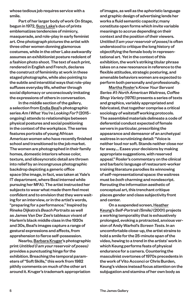whose tedious job requires service with a smile.

 Part of her larger body of work *On Stage*, begun in 1972, Suzy Lake's duo of prints emblematizes tendencies of mimicry, masquerade, and role-play in early feminist art. One photograph pictures the artist with three other women donning glamorous costumes, while in the other Lake awkwardly assumes an exhibitionist posture redolent of a fashion photo shoot. The text of each print, rendered in English and French, declares the construct of femininity at work in these staged photographs, while also pointing to the subtle and interstitial ways that role-play suffuses everyday life, whether through social diplomacy or unconsciously imitating the expressions of others in conversation.

 In the middle section of the gallery, a selection from Endia Beal's photographic series *Am I What You're Looking For?* (2015– ongoing) attends to relationships between physical postures and social positioning in the context of the workplace. The series features portraits of young African American women who have recently finished school and transitioned to the job market. The women are photographed in their family homes, domestic interiors whose color, texture, and idiosyncratic detail are thrown into relief by an incongruous photographic backdrop depicting a generic office space (the image, in fact, was taken at Yale's IT department, where Beal interned while pursuing her MFA). The artist instructed her subjects to wear what made them feel most confident and to envision that they were waiting for an interview, or in the artist's words, "preparing for a performance." Inspired by Rineke Dijkstra's *Beach Portraits* as well as James Van Der Zee's tableaux vivant of Harlem's black middle class in the 1920s and 30s, Beal's images capture a range of gestural expressions and affects, from apprehension to fierce self-possession.

 Nearby, Barbara Kruger's photographic print *Untitled (I am your reservoir of poses)* provides a punctuating hinge for the exhibition. Breaching the temporal parameters of"Soft Skills,"this work from 1982 pithily comments on much of the other art around it. Kruger's trademark appropriation

of images, as well as the aphoristic language and graphic design of advertising lends her works a fluid semantic capacity; many constitute open forms which invite variable meanings to accrue depending on their context and the position of their viewers. *Untitled (I am your reservoir of poses)*is often understood to critique the long history of objectifying the female body in representational art. Yet in the context of this exhibition, the work's striking titular phrase takes on a new resonance in reference to the flexible attitudes, strategic posturing, and amenable behaviors women are expected to perform both personally and professionally.

Martha Rosler's*Know Your Servant Series #1: North American Waitress, Coffee Shop Variety* (1976) presents a series of texts and graphics, variably appropriated and fabricated, that together comprise a critical sociology of waitstaff working protocols. The assembled materials delineate a code of deferential conduct expected of female servers in particular, prescribing the appearance and demeanor of an archetypal waitress in scrutinizing detail: "Voice is neither loud nor soft. Stands neither close nor far away…. Eases your decisions by making appropriate suggestions, with reserved appeal." Rosler's commentary on the clinical and barbaric language of restaurant-worker training literature parodies its winnowing of self-representational space: the waitress must be *both* charming and nondescript. Rerouting the information aesthetic of conceptual art, this trenchant critique places gender and class subjectivity front and center.

On a suspended screen, Heather Keung's *Self-Portrait (Smile)* (2001) projects a working temporality that is exhaustively prolonged, evoking a protracted, anxious version of Andy Warhol's *Screen Tests*. In an uncomfortable close-up, the artist strains to hold a smile for the 25-minute span of the video, hewing to a trend in the artists' work in which Keung performs feats of physical endurance for a camera. Countering the masculinist overtones of 1970s precedents in the work of Vito Acconci or Chris Burden, Keung's videos instead focus attention on the subjugation and stamina of her own body as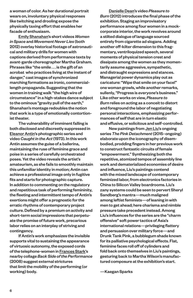a woman of color. As her durational portrait wears on, involuntary physical responses like twitching and drooling expose the physically taxing effort that enables her facade of enthusiasm.

Emily Shanahan's short videos *Women in Space* and *Movement Never Lies* (both 2012) overlay historical footage of astronautical and military drills for women with captions derived from performance texts by avant-garde choreographer Martha Graham. Phrases like "the smile . . . is the gift of an acrobat who practices living at the instant of danger," cast images of synchronized marching formations as ironic, commerciallength propaganda. Suggesting that the women in training walk "the high wire of circumstance" in a high-stakes dance subject to the ominous "gravity pull of the earth," Shanahan's montage redoubles the notion that work is a type of emotionally contortionist theater.

 The vulnerability of imminent falling is both disclosed and discreetly suppressed in Eleanor Antin's photographic series and video *Caught in the Act* (1973). In this work Antin assumes the guise of a ballerina, maintaining the ruse of feminine grace and poise in a series of carefully orchestrated poses. Yet the video reveals the artist's amateurism, as she fails to smoothly maintain this unfamiliar identity in motion; Antin can achieve a professional image only in fugitive fits and starts for photographic capture. In addition to commenting on the regulatory and repetitious task of performing femininity, the fleeting and intermittent tempo of Antin's exertions might offer a prognostic for the erratic rhythms of contemporary project culture. Defined by a premium on activity and short-term social impressions that perpetuate the promise of future work, precarious labor relies on an interplay of striving and contingency.

 If Antin's work emphasizes the invisible supports vital to sustaining the appearance of virtuosic autonomy, the exposed cords of the telephone-women in Frances Stark's nearby collage *Back Side of the Performance* (2008) suggest external strictures that limit the mobility of the performing (or working) body.

 Danielle Dean's video *Pleasure to Burn* (2012) introduces the final phase of the exhibition. Staging an improvisatory performance among four women in a mockcorporate interior, the work revolves around a stilted dialogue of language sourced entirely from cigarette ad slogans. Adding another off-kilter dimension to this fragmentary, ventriloquized speech, several moments of physical tension crest and dissipate among the women as they momentarily assume aggressive, sympathetic, and distraught expressions and stances. Managerial power dynamics play out as caricature: "Wipe that smile on your face!" one woman growls, while another remarks, sullenly, "Progress is *everyone*'s business." Like other works on view, *Pleasure to Burn* relies on acting as a conceit to distort and foreground the labor of negotiating personal interactions, emphasizing performances of self that are in turn elastic and effusive, or solicitous and self-controlled.

New paintings from Jen Liu's ongoing series *The Pink Detachment* (2015–ongoing) elaborate upon the iconography of disembodied, prodding fingers in her previous work to construct fantastic circuits of female "empowerment." Synthesizing both the repetitive, atomized tempos of assembly line work and dematerialized economies of desire and influence, Liu's paintings contend with the mixed landscape of contemporary feminized labor, from electronics factories in China to Silicon Valley boardrooms. Liu's zany systems could be seen to pervert Sheryl Sandberg's mantra—much maligned among leftist feminists—of leaning in with men to get ahead; here charisma and nimble pressure take precedent instead. Among Liu's influences for the series are the "charm offensive" soft power tactics of Asia's international relations—privileging flattery and persuasion over military force—and Drunk Tank Pink, a bubblegum shade known for its palliative psychological effects. Flat, feminine faces roll off of cylinders and fold back onto themselves in Liu's paintings, gesturing back to Martha Wilson's manufactured composure at the exhibition's start.

—Kaegan Sparks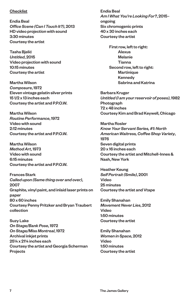#### **Checklist**

Endia Beal *Office Scene (Can I Touch It?)*, 2013 HD video projection with sound 3:30 minutes Courtesy the artist

Tasha Bjelić *Untitled*, 2015 Video projection with sound 10:15 minutes Courtesy the artist

Martha Wilson *Composure*, 1972 Eleven vintage gelatin silver prints 15 1/2 x 13 inches each Courtesy the artist and P.P.O.W.

Martha Wilson *Routine Performance*, 1972 Video with sound 2:12 minutes Courtesy the artist and P.P.O.W.

Martha Wilson *Method Art*, 1973 Video with sound 6:15 minutes Courtesy the artist and P.P.O.W.

Frances Stark *Called upon (Same thing over and over)*, 2007 Graphite, vinyl paint, and inlaid laser prints on paper 80 x 60 inches Courtesy Penny Pritzker and Bryan Traubert collection

Suzy Lake *On Stage/Bank Pose*, 1972 *On Stage/Miss Montreal*, 1972 Archival inkjet prints 25¼ x 21¼ inches each Courtesy the artist and Georgia Scherman Projects

Endia Beal *Am I What You're Looking For?*, 2015– ongoing Six chromogenic prints 40 x 30 inches each Courtesy the artist

First row, left to right: Alexus Melanie Tianna Second row, left to right: **Martinique** Kennedy Sabrina and Katrina

Barbara Kruger *Untitled (I am your reservoir of poses)*, 1982 Photograph 72 x 48 inches Courtesy Kim and Brad Keywell, Chicago

Martha Rosler *Know Your Servant Series, #1: North American Waitress, Coffee Shop Variety*, 1976 Seven digital prints 20 x 16 inches each Courtesy the artist and Mitchell-Innes & Nash, New York

Heather Keung *Self Portrait (Smile)*, 2001 Video 25 minutes Courtesy the artist and Vtape

Emily Shanahan *Movement Never Lies*, 2012 Video 1:50 minutes Courtesy the artist

Emily Shanahan *Women in Space*, 2012 Video 1:50 minutes Courtesy the artist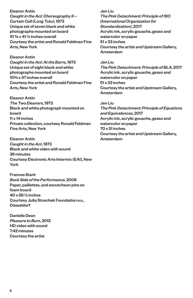Eleanor Antin *Caught in the Act: Choreography II— Curtain Call (Long Tutu)*, 1973 Unique set of seven black and white photographs mounted on board 10 ¾ x 41 ½ inches overall Courtesy the artist and Ronald Feldman Fine Arts, New York

Eleanor Antin *Caught in the Act: At the Barre*, 1973 Unique set of eight black and white photographs mounted on board 10¾ x 47 inches overall Courtesy the artist and Ronald Feldman Fine Arts, New York

Eleanor Antin *The Two Eleanors*, 1973 Black and white photograph mounted on board 11 x 14 inches Private collection, courtesy Ronald Feldman Fine Arts, New York

Eleanor Antin *Caught in the Act*, 1973 Black and white video with sound 36 minutes Courtesy Electronic Arts Intermix (EAI), New York

Frances Stark *Back Side of the Performance*, 2008 Paper, paillettes, and escutcheon pins on foam board 40 x 68 ½ inches Courtesy Julia Stoschek Foundation e.v., Düsseldorf

Danielle Dean *Pleasure to Burn*, 2012 HD video with sound 7:42 minutes Courtesy the artist

Jen Liu *The Pink Detachment: Principle of ISO (International Organization for Standardization)*, 2017 Acrylic ink, acrylic gouache, gesso and watercolor on paper 51 x 33 inches Courtesy the artist and Upstream Gallery, Amsterdam

Jen Liu *The Pink Detachment: Principle of BLA*, 2017 Acrylic ink, acrylic gouache, gesso and watercolor on paper 51 x 33 inches Courtesy the artist and Upstream Gallery, Amsterdam

Jen Liu

*The Pink Detachment: Principle of Equations and Equivalences*, 2017 Acrylic ink, acrylic gouache, gesso and watercolor on paper 70 x 51 inches Courtesy the artist and Upstream Gallery, Amsterdam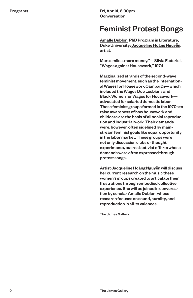Fri, Apr 14, 6:30pm Conversation

### Feminist Protest Songs

Amalle Dublon, PhD Program in Literature, Duke University; Jacqueline Hoàng Nguy**ễ**n, artist.

More smiles, more money."—Silvia Federici, "Wages against Housework," 1974

Marginalized strands of the second-wave feminist movement, such as the International Wages for Housework Campaign—which included the Wages Due Lesbians and Black Women for Wages for Housework advocated for salaried domestic labor. These feminist groups formed in the 1970s to raise awareness of how housework and childcare are the basis of all social reproduction and industrial work. Their demands were, however, often sidelined by mainstream feminist goals like equal opportunity in the labor market. These groups were not only discussion clubs or thought experiments, but real activist efforts whose demands were often expressed through protest songs.

Artist Jacqueline HoàngNguy**ễ**n will discuss her current research on the music these women's groups created to articulate their frustrations through embodied collective experience. She will be joined in conversation by scholar Amalle Dublon, whose research focuses on sound, aurality, and reproduction in all its valences.

The James Gallery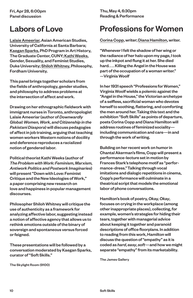Fri, Apr 28, 6:00pm Panel discussion

## Labors of Love

Lalaie Ameeriar, Asian American Studies, University of California at Santa Barbara; Kaegan Sparks, PhD Program in Art History, The Graduate Center, CUNY; Kathi Weeks, Gender, Sexuality, and Feminist Studies, Duke University; Shiloh Whitney, Philosophy, Fordham University.

This panel brings together scholars from the fields of anthropology, gender studies, and philosophy to address problems at the intersection of affect and work.

Drawing on her ethnographic fieldwork with immigrant nurses in Toronto, anthropologist Lalaie Ameeriar (author of *Downwardly Global: Women, Work, and Citizenship in the Pakistani Diaspora*) will discuss pedagogies of affect in job training, arguing that teaching women workers Western notions of docility and deference reproduces a racialized notion of gendered labor.

Political theorist Kathi Weeks (author of *The Problem with Work: Feminism, Marxism, Antiwork Politics and Postwork Imaginaries*) will present "Down with Love: Feminist Critique and the New Ideologies of Work," a paper comprising new research on love and happiness in popular management discourses.

Philosopher Shiloh Whitney will critique the use of authenticity as a framework for analyzing affective labor, suggesting instead a notion of affective agency that allows us to rethink emotions outside of the binary of sovereign and spontaneous versus forced or feigned.

These presentations will be followed by a conversation moderated by Kaegan Sparks, curator of "Soft Skills."

The Skylight Room (9100)

Thu, May 4, 6:30pm Reading & Performance

# Professions for Women

Corina Copp, writer; Diana Hamilton, writer.

"Whenever I felt the shadow of her wing or the radiance of her halo upon my page, I took up the inkpot and flung it at her. She died hard. . . . Killing the Angel in the House was part of the occupation of a woman writer." —Virginia Woolf

In her 1931 speech "Professions for Women," Virginia Woolf wields a polemic against the "Angel in the House," the Victorian archetype of a selfless, sacrificial woman who devotes herself to soothing, flattering, and comforting the men around her. Taking this text and the exhibition "Soft Skills" as points of departure, poets Corina Copp and Diana Hamilton will address routines of feminized sociality including communication and care—in and through the work of writing.

Building on her recent work on humor in Chantal Akerman's films, Copp will present a performance-lecture set in motion by Frances Stark's telephone motif as "performance-dress." Talking through vocal imitations and dialogic repetitions in cinema, Copp's performance will culminate in a theatrical script that models the emotional labor of phone conversations.

Hamilton's book of poetry, *Okay, Okay*, focuses on crying in the workplace (among other inappropriate places), collecting, for example, women's strategies for hiding their tears, together with managerial advice about keeping it together and paranoid descriptions of office floorplans. In addition to reading from this work, Hamilton will discuss the question of "empathy" as it is coded as *hard*, *easy*, *soft*—and how we might separate "empathy" from its marketability.

The James Gallery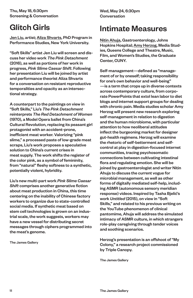Thu, May 18, 6:30pm Screening & Conversation

### Glitch Girls

Jen Liu, artist; Aliza Shvarts, PhD Program in Performance Studies, New York University.

"Soft Skills" artist Jen Liu will screen and discuss her video work *The Pink Detachment* (2016), as well as portions of her work in progress, *Pink Slime Caesar Shift*. Following her presentation Liu will be joined by artist and performance theorist Aliza Shvarts for a conversation on resistant reproductive temporalities and opacity as an intersectional strategy.

A counterpart to the paintings on view in "Soft Skills," Liu's *The Pink Detachment* reinterprets *The Red Detachment of Women* (1970), a Model Opera ballet from China's Cultural Revolution, replacing its peasant girl protagonist with an accident-prone, inefficient meat worker. Valorizing "pink slime," a processed paste of low-grade meat scraps, Liu's work proposes a speculative solution to China's current crises in meat supply. The work shifts the register of the color pink, as a symbol of femininity, from "natural" fleshy softness to a synthetic, potentially violent, hybridity.

Liu's new multi-part work *Pink Slime Caesar Shift* comprises another generative fiction about meat production in China, this time centering on the inability of Chinese factory workers to organize due to state-controlled social media. If synthetic meat based on stem cell technologies is grown on an industrial scale, the work suggests, workers may have a new vessel for distributing secret messages through ciphers programmed into the meat's genome.

The James Gallery

Wed, May 24, 6:30pm Conversation

### Intimate Measures

Nitin Ahuja, Gastroenterology, Johns Hopkins Hospital; Amy Herzog, Media Studies, Queens College and Theatre, Music, Film, and Women's Studies, the Graduate Center, CUNY.

Self-management—defined as "management of or by oneself; taking responsibility for one's own behavior and well-being" —is a term that crops up in diverse contexts across contemporary culture, from corporate PowerPoints that extol lean labor to diet blogs and internet support groups for dealing with chronic pain. Media studies scholar Amy Herzog will present new research exploring self-management in relation to digestion and the human microbiome, with particular attention to how neoliberal attitudes inflect the burgeoning market for designer gut-health regimens. Herzog will examine the rhetoric of self-betterment and selfcontrol at play in digestion-focused internet communities, tracing psychosomatic connections between cultivating intestinal flora and regulating emotion. She will be joined by gastroenterologist and writer Nitin Ahuja to discuss the current vogue for microbial management, as well as other forms of digitally mediated self-help, including ASMR (autonomous sensory meridian response) videos. Inspired by Tasha Bjelić's work *Untitled* (2015), on view in "Soft Skills," and related to his previous writing on the YouTube phenomenon of clinical pantomime, Ahuja will address the simulated intimacy of ASMR culture, in which strangers role-play caregiving through tender voices and soothing scenarios.

Herzog's presentation is an offshoot of "My Colony," a research project commissioned by Triple Canopy.

The James Gallery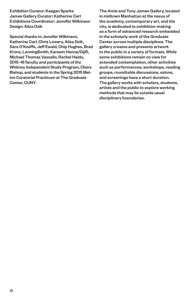Exhibition Curator: Kaegan Sparks James Gallery Curator: Katherine Carl Exhibitions Coordinator: Jennifer Wilkinson Design: Aliza Dzik

Special thanks to Jennifer Wilkinson, Katherine Carl, Chris Lowery, Aliza Dzik, Sara O'Keeffe, Jeff Ewald, Chip Hughes, Brad Kronz, LanningSmith, Kareem Hanna/Dijifi, Michael Thomas Vassallo, Rachel Haidu, 2015–16 faculty and participants of the Whitney Independent Study Program, Claire Bishop, and students in the Spring 2015 Mellon Curatorial Practicum at The Graduate Center, CUNY.

The Amie and Tony James Gallery, located in midtown Manhattan at the nexus of the academy, contemporary art, and the city, is dedicated to exhibition-making as a form of advanced research embedded in the scholarly work of the Graduate Center across multiple disciplines. The gallery creates and presents artwork to the public in a variety of formats. While some exhibitions remain on view for extended contemplation, other activities such as performances, workshops, reading groups, roundtable discussions, salons, and screenings have a short duration. The gallery works with scholars, students, artists and the public to explore working methods that may lie outside usual disciplinary boundaries.